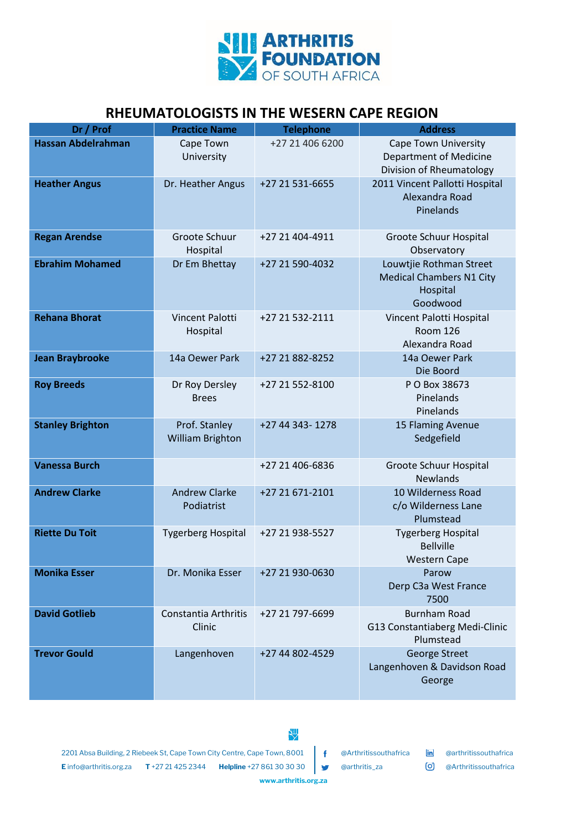

## **RHEUMATOLOGISTS IN THE WESERN CAPE REGION**

| Dr / Prof                 | <b>Practice Name</b>                     | <b>Telephone</b> | <b>Address</b>                                                                     |
|---------------------------|------------------------------------------|------------------|------------------------------------------------------------------------------------|
| <b>Hassan Abdelrahman</b> | Cape Town<br>University                  | +27 21 406 6200  | Cape Town University<br><b>Department of Medicine</b><br>Division of Rheumatology  |
| <b>Heather Angus</b>      | Dr. Heather Angus                        | +27 21 531-6655  | 2011 Vincent Pallotti Hospital<br>Alexandra Road<br>Pinelands                      |
| <b>Regan Arendse</b>      | Groote Schuur<br>Hospital                | +27 21 404-4911  | Groote Schuur Hospital<br>Observatory                                              |
| <b>Ebrahim Mohamed</b>    | Dr Em Bhettay                            | +27 21 590-4032  | Louwtjie Rothman Street<br><b>Medical Chambers N1 City</b><br>Hospital<br>Goodwood |
| <b>Rehana Bhorat</b>      | <b>Vincent Palotti</b><br>Hospital       | +27 21 532-2111  | Vincent Palotti Hospital<br><b>Room 126</b><br>Alexandra Road                      |
| <b>Jean Braybrooke</b>    | 14a Oewer Park                           | +27 21 882-8252  | 14a Oewer Park<br>Die Boord                                                        |
| <b>Roy Breeds</b>         | Dr Roy Dersley<br><b>Brees</b>           | +27 21 552-8100  | P O Box 38673<br>Pinelands<br>Pinelands                                            |
| <b>Stanley Brighton</b>   | Prof. Stanley<br><b>William Brighton</b> | +27 44 343-1278  | 15 Flaming Avenue<br>Sedgefield                                                    |
| <b>Vanessa Burch</b>      |                                          | +27 21 406-6836  | Groote Schuur Hospital<br><b>Newlands</b>                                          |
| <b>Andrew Clarke</b>      | <b>Andrew Clarke</b><br>Podiatrist       | +27 21 671-2101  | 10 Wilderness Road<br>c/o Wilderness Lane<br>Plumstead                             |
| <b>Riette Du Toit</b>     | <b>Tygerberg Hospital</b>                | +27 21 938-5527  | <b>Tygerberg Hospital</b><br><b>Bellville</b><br><b>Western Cape</b>               |
| <b>Monika Esser</b>       | Dr. Monika Esser                         | +27 21 930-0630  | Parow<br>Derp C3a West France<br>7500                                              |
| <b>David Gotlieb</b>      | Constantia Arthritis<br>Clinic           | +27 21 797-6699  | <b>Burnham Road</b><br>G13 Constantiaberg Medi-Clinic<br>Plumstead                 |
| <b>Trevor Gould</b>       | Langenhoven                              | +27 44 802-4529  | George Street<br>Langenhoven & Davidson Road<br>George                             |

2201 Absa Building, 2 Riebeek St, Cape Town City Centre, Cape Town, 8001 | F @Arthritissouthafrica [in] @arthritissouthafrica **E** info@arthritis.org.za **T** +27 21 425 2344 **Helpline** +27 861 30 30 30 @Arthritis\_za @@Arthritissouthafrica

**www.arthritis.org.za**

型